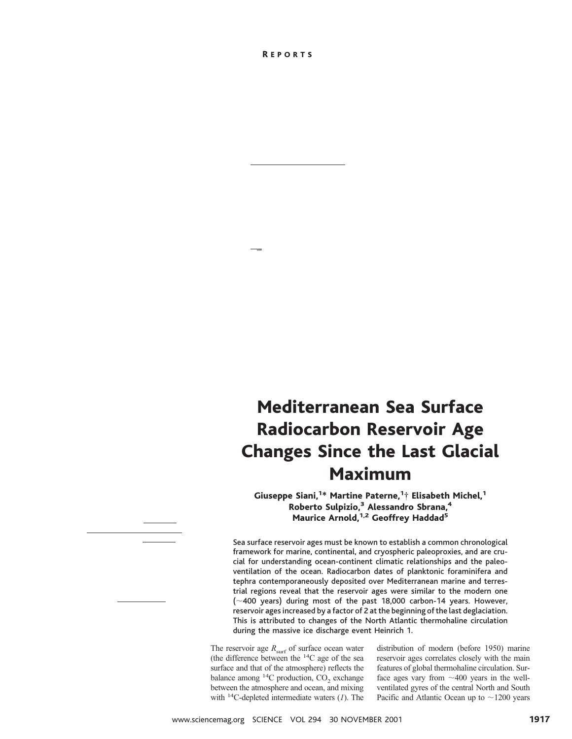## Mediterranean Sea Surface Radiocarbon Reservoir Age Changes Since the Last Glacial Maximum

Giuseppe Siani,<sup>1\*</sup> Martine Paterne,<sup>1</sup>† Elisabeth Michel,<sup>1</sup> Roberto Sulpizio,<sup>3</sup> Alessandro Sbrana,<sup>4</sup> Maurice Arnold,<sup>1,2</sup> Geoffrey Haddad<sup>5</sup>

Sea surface reservoir ages must be known to establish a common chronological framework for marine, continental, and cryospheric paleoproxies, and are crucial for understanding ocean-continent climatic relationships and the paleoventilation of the ocean. Radiocarbon dates of planktonic foraminifera and tephra contemporaneously deposited over Mediterranean marine and terrestrial regions reveal that the reservoir ages were similar to the modern one  $(\sim$  400 years) during most of the past 18,000 carbon-14 years. However, reservoir ages increased by a factor of 2 at the beginning of the last deglaciation. This is attributed to changes of the North Atlantic thermohaline circulation during the massive ice discharge event Heinrich 1.

The reservoir age  $R_{\text{surf}}$  of surface ocean water (the difference between the 14C age of the sea surface and that of the atmosphere) reflects the balance among  $^{14}$ C production, CO<sub>2</sub> exchange between the atmosphere and ocean, and mixing with 14C-depleted intermediate waters (*1*). The

distribution of modern (before 1950) marine reservoir ages correlates closely with the main features of global thermohaline circulation. Surface ages vary from  $\sim$ 400 years in the wellventilated gyres of the central North and South Pacific and Atlantic Ocean up to  $\sim$ 1200 years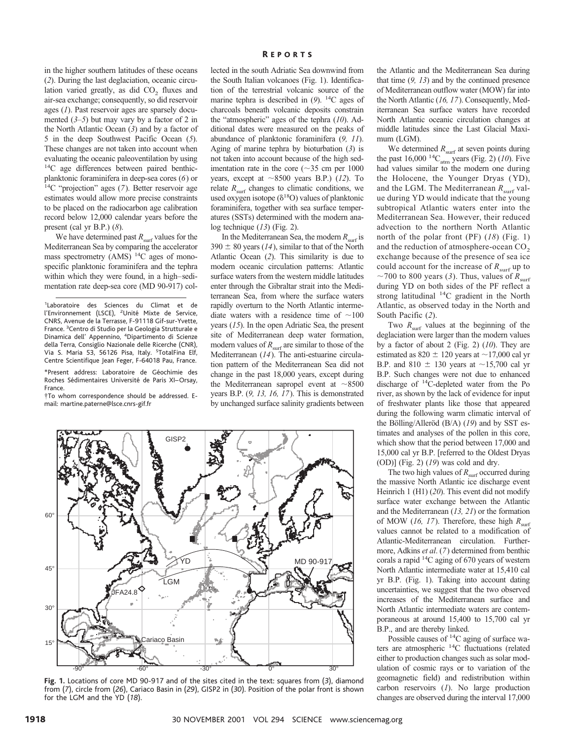in the higher southern latitudes of these oceans (*2*). During the last deglaciation, oceanic circulation varied greatly, as did  $CO<sub>2</sub>$  fluxes and air-sea exchange; consequently, so did reservoir ages (*1*). Past reservoir ages are sparsely documented (*3–5*) but may vary by a factor of 2 in the North Atlantic Ocean (*3*) and by a factor of 5 in the deep Southwest Pacific Ocean (*5*). These changes are not taken into account when evaluating the oceanic paleoventilation by using 14C age differences between paired benthicplanktonic foraminifera in deep-sea cores (*6*) or 14C "projection" ages (*7*). Better reservoir age estimates would allow more precise constraints to be placed on the radiocarbon age calibration record below 12,000 calendar years before the present (cal yr B.P.) (*8*).

We have determined past  $R_{\text{surf}}$  values for the Mediterranean Sea by comparing the accelerator mass spectrometry (AMS) 14C ages of monospecific planktonic foraminifera and the tephra within which they were found, in a high–sedimentation rate deep-sea core (MD 90-917) col-

\*Present address: Laboratoire de Géochimie des Roches Sédimentaires Université de Paris XI–Orsay, France.

†To whom correspondence should be addressed. Email: martine.paterne@lsce.cnrs-gif.fr

lected in the south Adriatic Sea downwind from the South Italian volcanoes (Fig. 1). Identification of the terrestrial volcanic source of the marine tephra is described in (*9*). 14C ages of charcoals beneath volcanic deposits constrain the "atmospheric" ages of the tephra (*10*). Additional dates were measured on the peaks of abundance of planktonic foraminifera (*9, 11*). Aging of marine tephra by bioturbation (*3*) is not taken into account because of the high sedimentation rate in the core ( $\sim$ 35 cm per 1000 years, except at  $\sim$ 8500 years B.P.) (*12*). To relate  $R_{\text{surf}}$  changes to climatic conditions, we used oxygen isotope  $(\delta^{18}O)$  values of planktonic foraminifera, together with sea surface temperatures (SSTs) determined with the modern analog technique (*13*) (Fig. 2).

In the Mediterranean Sea, the modern  $R_{\text{surf}}$  is  $390 \pm 80$  years (*14*), similar to that of the North Atlantic Ocean (*2*). This similarity is due to modern oceanic circulation patterns: Atlantic surface waters from the western middle latitudes enter through the Gibraltar strait into the Mediterranean Sea, from where the surface waters rapidly overturn to the North Atlantic intermediate waters with a residence time of  $\sim$ 100 years (*15*). In the open Adriatic Sea, the present site of Mediterranean deep water formation, modern values of  $R_{\text{surf}}$  are similar to those of the Mediterranean (*14*). The anti-estuarine circulation pattern of the Mediterranean Sea did not change in the past 18,000 years, except during the Mediterranean sapropel event at  $\sim 8500$ years B.P. (*9, 13, 16, 17*). This is demonstrated by unchanged surface salinity gradients between



**Fig. 1.** Locations of core MD 90-917 and of the sites cited in the text: squares from (*3*), diamond from (*7*), circle from (*26*), Cariaco Basin in (*29*), GISP2 in (*30*). Position of the polar front is shown for the LGM and the YD (*18*).

the Atlantic and the Mediterranean Sea during that time (*9, 13*) and by the continued presence of Mediterranean outflow water (MOW) far into the North Atlantic (*16, 17*). Consequently, Mediterranean Sea surface waters have recorded North Atlantic oceanic circulation changes at middle latitudes since the Last Glacial Maximum (LGM).

We determined  $R_{\text{surf}}$  at seven points during the past  $16,000^{14}C_{\text{atm}}$  years (Fig. 2) (10). Five had values similar to the modern one during the Holocene, the Younger Dryas (YD), and the LGM. The Mediterranean  $R_{\text{surf}}$  value during YD would indicate that the young subtropical Atlantic waters enter into the Mediterranean Sea. However, their reduced advection to the northern North Atlantic north of the polar front (PF) (*18*) (Fig. 1) and the reduction of atmosphere-ocean  $CO<sub>2</sub>$ exchange because of the presence of sea ice could account for the increase of  $R_{\text{surf}}$  up to  $\sim$ 700 to 800 years (3). Thus, values of  $R_{\text{surf}}$ during YD on both sides of the PF reflect a strong latitudinal 14C gradient in the North Atlantic, as observed today in the North and South Pacific (*2*).

Two  $R_{\text{surf}}$  values at the beginning of the deglaciation were larger than the modern values by a factor of about 2 (Fig. 2) (*10*). They are estimated as 820  $\pm$  120 years at  $\sim$  17,000 cal yr B.P. and 810  $\pm$  130 years at ~15,700 cal yr B.P. Such changes were not due to enhanced discharge of 14C-depleted water from the Po river, as shown by the lack of evidence for input of freshwater plants like those that appeared during the following warm climatic interval of the Bölling/Alleröd (B/A) (19) and by SST estimates and analyses of the pollen in this core, which show that the period between 17,000 and 15,000 cal yr B.P. [referred to the Oldest Dryas (OD)] (Fig. 2) (*19*) was cold and dry.

The two high values of  $R_{\text{surf}}$  occurred during the massive North Atlantic ice discharge event Heinrich 1 (H1) (*20*). This event did not modify surface water exchange between the Atlantic and the Mediterranean (*13, 21*) or the formation of MOW (16, 17). Therefore, these high  $R_{\text{surf}}$ values cannot be related to a modification of Atlantic-Mediterranean circulation. Furthermore, Adkins *et al*. (*7*) determined from benthic corals a rapid 14C aging of 670 years of western North Atlantic intermediate water at 15,410 cal yr B.P. (Fig. 1). Taking into account dating uncertainties, we suggest that the two observed increases of the Mediterranean surface and North Atlantic intermediate waters are contemporaneous at around 15,400 to 15,700 cal yr B.P., and are thereby linked.

Possible causes of 14C aging of surface waters are atmospheric 14C fluctuations (related either to production changes such as solar modulation of cosmic rays or to variation of the geomagnetic field) and redistribution within carbon reservoirs (*1*). No large production changes are observed during the interval 17,000

<sup>&</sup>lt;sup>1</sup>Laboratoire des Sciences du Climat et de l'Environnement (LSCE), <sup>2</sup>Unité Mixte de Service, CNRS, Avenue de la Terrasse, F-91118 Gif-sur-Yvette, France. <sup>3</sup> Centro di Studio per la Geologia Strutturale e Dinamica dell' Appennino, <sup>4</sup> Dipartimento di Scienze della Terra, Consiglio Nazionale delle Ricerche (CNR), Via S. Maria 53, 56126 Pisa, Italy. <sup>5</sup>TotalFina Elf, Centre Scientifique Jean Feger, F-64018 Pau, France.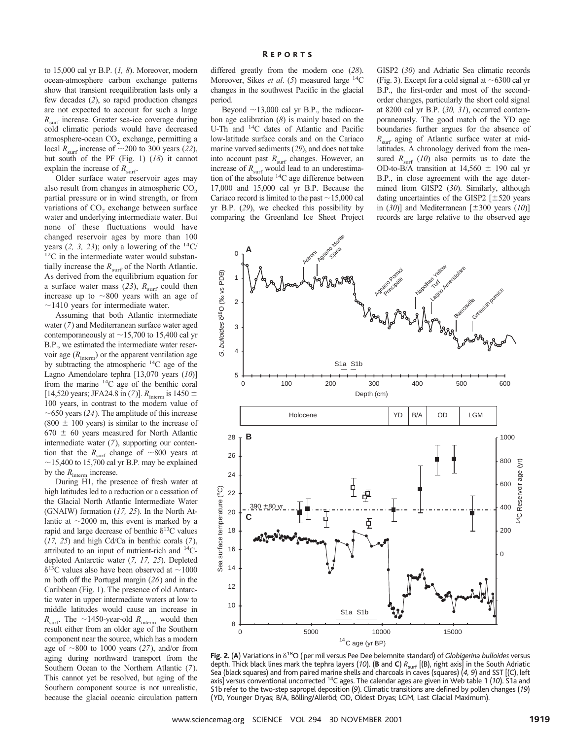to 15,000 cal yr B.P. (*1, 8*). Moreover, modern ocean-atmosphere carbon exchange patterns show that transient reequilibration lasts only a few decades (*2*), so rapid production changes are not expected to account for such a large *R*<sub>surf</sub> increase. Greater sea-ice coverage during cold climatic periods would have decreased atmosphere-ocean  $CO<sub>2</sub>$  exchange, permitting a local  $R_{\text{surf}}$  increase of  $\sim$ 200 to 300 years (22), but south of the PF (Fig. 1) (*18*) it cannot explain the increase of  $R_{\text{surf}}$ .

Older surface water reservoir ages may also result from changes in atmospheric  $CO<sub>2</sub>$ partial pressure or in wind strength, or from variations of  $CO<sub>2</sub>$  exchange between surface water and underlying intermediate water. But none of these fluctuations would have changed reservoir ages by more than 100 years (2, 3, 23); only a lowering of the  $^{14}C/^{12}C$  in the intermediate water would substantially increase the  $R_{\text{surf}}$  of the North Atlantic. As derived from the equilibrium equation for a surface water mass (23),  $R_{\text{surf}}$  could then increase up to  $\sim$ 800 years with an age of  $\sim$ 1410 years for intermediate water.

Assuming that both Atlantic intermediate water (*7*) and Mediterranean surface water aged contemporaneously at  $\sim$ 15,700 to 15,400 cal yr B.P., we estimated the intermediate water reservoir age  $(R<sub>interm</sub>)$  or the apparent ventilation age by subtracting the atmospheric 14C age of the Lagno Amendolare tephra [13,070 years (*10*)] from the marine 14C age of the benthic coral [14,520 years; JFA24.8 in (7)].  $R_{\text{interm}}$  is 1450  $\pm$ 100 years, in contrast to the modern value of  $\sim$  650 years (24). The amplitude of this increase  $(800 \pm 100 \text{ years})$  is similar to the increase of  $670 \pm 60$  years measured for North Atlantic intermediate water (*7*), supporting our contention that the  $R_{\text{surf}}$  change of  $\sim$ 800 years at  $\sim$ 15,400 to 15,700 cal yr B.P. may be explained by the  $R_{\text{interm}}$  increase.

During H1, the presence of fresh water at high latitudes led to a reduction or a cessation of the Glacial North Atlantic Intermediate Water (GNAIW) formation (*17, 25*). In the North Atlantic at  $\sim$ 2000 m, this event is marked by a rapid and large decrease of benthic  $\delta^{13}C$  values (*17, 25*) and high Cd/Ca in benthic corals (*7*), attributed to an input of nutrient-rich and 14Cdepleted Antarctic water (*7, 17, 25*). Depleted  $\delta$ <sup>13</sup>C values also have been observed at  $\sim$ 1000 m both off the Portugal margin (*26*) and in the Caribbean (Fig. 1). The presence of old Antarctic water in upper intermediate waters at low to middle latitudes would cause an increase in  $R_{\text{surf}}$ . The  $\sim$ 1450-year-old  $R_{\text{interm}}$  would then result either from an older age of the Southern component near the source, which has a modern age of  $\sim$ 800 to 1000 years (27), and/or from aging during northward transport from the Southern Ocean to the Northern Atlantic (*7*). This cannot yet be resolved, but aging of the Southern component source is not unrealistic, because the glacial oceanic circulation pattern

differed greatly from the modern one (*28*). Moreover, Sikes *et al*. (*5*) measured large 14C changes in the southwest Pacific in the glacial period.

Beyond  $\sim$ 13,000 cal yr B.P., the radiocarbon age calibration (*8*) is mainly based on the U-Th and 14C dates of Atlantic and Pacific low-latitude surface corals and on the Cariaco marine varved sediments (*29*), and does not take into account past  $R_{\text{surf}}$  changes. However, an increase of  $R_{\text{surf}}$  would lead to an underestimation of the absolute 14C age difference between 17,000 and 15,000 cal yr B.P. Because the Cariaco record is limited to the past  $\sim$  15,000 cal yr B.P. (*29*), we checked this possibility by comparing the Greenland Ice Sheet Project

GISP2 (*30*) and Adriatic Sea climatic records (Fig. 3). Except for a cold signal at  $\sim$  6300 cal yr B.P., the first-order and most of the secondorder changes, particularly the short cold signal at 8200 cal yr B.P. (*30, 31*), occurred contemporaneously. The good match of the YD age boundaries further argues for the absence of *R*surf aging of Atlantic surface water at midlatitudes. A chronology derived from the measured  $R_{\text{surf}}$  (10) also permits us to date the OD-to-B/A transition at  $14,560 \pm 190$  cal yr B.P., in close agreement with the age determined from GISP2 (*30*). Similarly, although dating uncertainties of the GISP2  $[\pm 520$  years in  $(30)$ ] and Mediterranean  $[\pm 300 \text{ years } (10)]$ records are large relative to the observed age



Fig. 2. (A) Variations in  $\delta^{18}O$  (per mil versus Pee Dee belemnite standard) of *Globigerina bulloides* versus depth. Thick black lines mark the tephra layers (*10*). (**B** and **C**) *R*surf [(B), right axis] in the South Adriatic Sea (black squares) and from paired marine shells and charcoals in caves (squares) (*4, 9*) and SST [(C), left axis] versus conventional uncorrected 14C ages. The calendar ages are given in Web table 1 (*10*). S1a and S1b refer to the two-step sapropel deposition (*9*). Climatic transitions are defined by pollen changes (*19*) (YD, Younger Dryas; B/A, Bölling/Alleröd; OD, Oldest Dryas; LGM, Last Glacial Maximum).